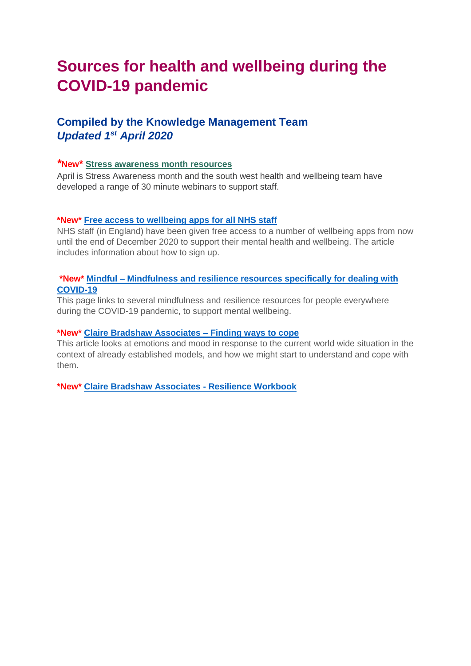# **Sources for health and wellbeing during the COVID-19 pandemic**

# **Compiled by the Knowledge Management Team** *Updated 1 st April 2020*

#### *\****New\* [Stress awareness month resources](https://connect.hee.nhs.uk/Interact/Pages/Content/Document.aspx?id=6105&utm_campaign=North%20eNewsletter%201%20April%20Issue%2067&utm_source=emailCampaign&utm_content=&utm_medium=email)**

April is Stress Awareness month and the south west health and wellbeing team have developed a range of 30 minute webinars to support staff.

#### **\*New\* [Free access to wellbeing apps for all NHS staff](https://protect-eu.mimecast.com/s/PJKpCQ6BJh6q8OAsx2Elt?domain=nhsemployers.org)**

NHS staff (in England) have been given free access to a number of wellbeing apps from now until the end of December 2020 to support their mental health and wellbeing. The article includes information about how to sign up.

#### **\*New\* Mindful – [Mindfulness and resilience resources specifically for dealing with](https://www.mindful.org/free-mindfulness-resources-for-calm-during-covid-outbreak/)  [COVID-19](https://www.mindful.org/free-mindfulness-resources-for-calm-during-covid-outbreak/)**

This page links to several mindfulness and resilience resources for people everywhere during the COVID-19 pandemic, to support mental wellbeing.

## **\*New\* [Claire Bradshaw Associates –](http://www.clairembradshaw.co.uk/2020/03/27/understanding-how-we-feel-and-finding-ways-to-cope/) Finding ways to cope**

This article looks at emotions and mood in response to the current world wide situation in the context of already established models, and how we might start to understand and cope with them.

**\*New\* Claire Bradshaw Associates - Resilience Workbook**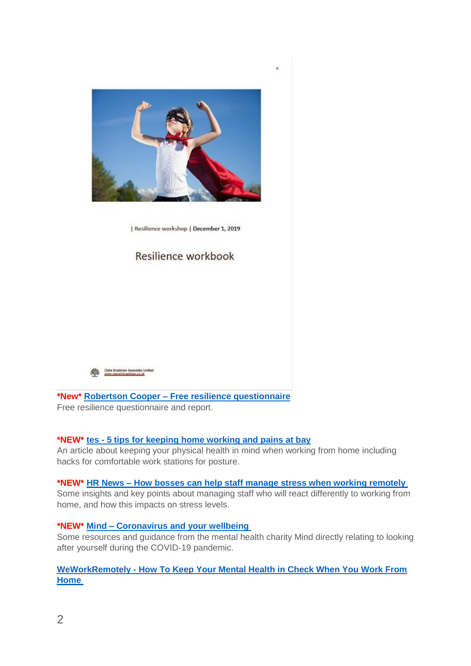

Resilience workshop | December 1, 2019

# Resilience workbook



**\*New\* Robertson Cooper – [Free resilience questionnaire](https://www.robertsoncooper.com/iresilience/)**

Free resilience questionnaire and report.

# **\*NEW\* tes - [5 tips for keeping home working and pains at bay](https://www.tes.com/news/5-tips-keeping-home-working-aches-and-pains-bay)**

An article about keeping your physical health in mind when working from home including hacks for comfortable work stations for posture.

#### **\*NEW\* HR News – [How bosses can help staff manage stress when working remotely](http://hrnews.co.uk/how-bosses-can-help-staff-manage-stress-when-working-remotely/)**

Some insights and key points about managing staff who will react differently to working from home, and how this impacts on stress levels.

#### **\*NEW\* Mind – [Coronavirus and your wellbeing](https://www.mind.org.uk/information-support/coronavirus-and-your-wellbeing/)**

Some resources and guidance from the mental health charity Mind directly relating to looking after yourself during the COVID-19 pandemic.

## **WeWorkRemotely - How To [Keep Your Mental Health in Check When You Work From](https://weworkremotely.com/how-to-keep-your-mental-health-in-check-when-you-work-from-home)  [Home](https://weworkremotely.com/how-to-keep-your-mental-health-in-check-when-you-work-from-home)**